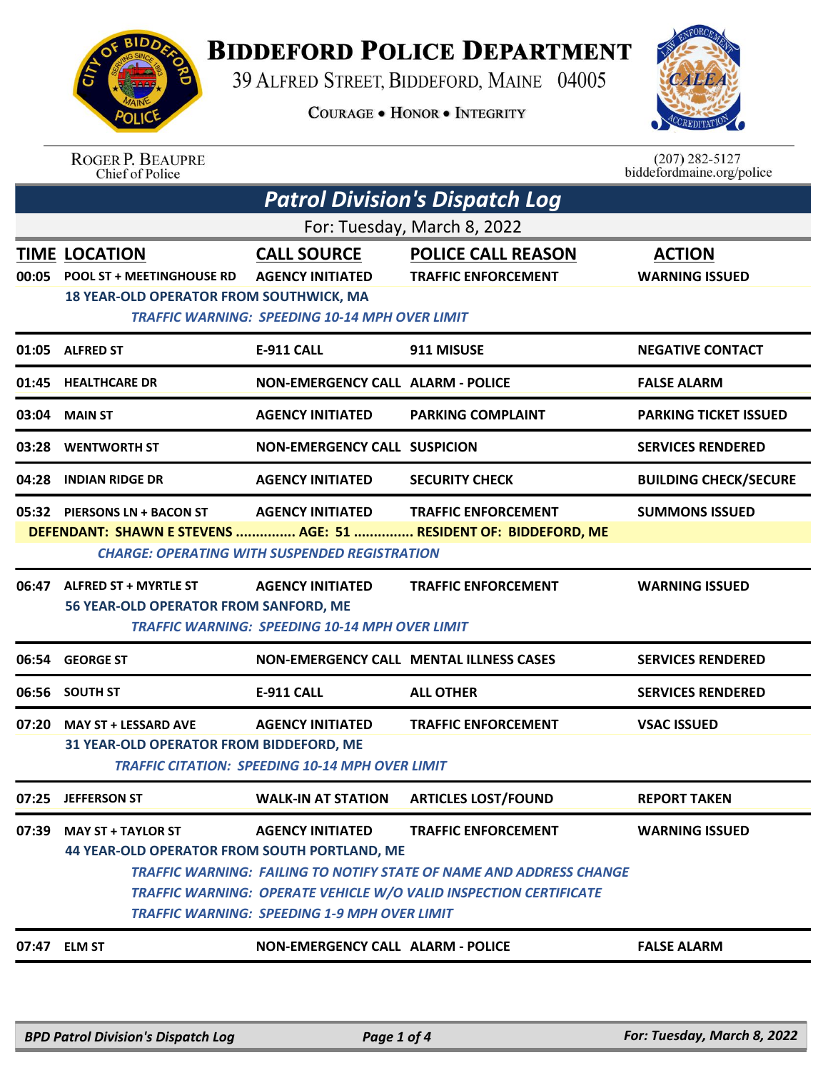

## **BIDDEFORD POLICE DEPARTMENT**

39 ALFRED STREET, BIDDEFORD, MAINE 04005

**COURAGE . HONOR . INTEGRITY** 



ROGER P. BEAUPRE<br>Chief of Police

 $(207)$  282-5127<br>biddefordmaine.org/police

| <b>Patrol Division's Dispatch Log</b>                                                                                                                                                                                    |                                                                                                                                                                                                                 |                                                                                                        |                                                                                                                                                                               |                                        |  |  |
|--------------------------------------------------------------------------------------------------------------------------------------------------------------------------------------------------------------------------|-----------------------------------------------------------------------------------------------------------------------------------------------------------------------------------------------------------------|--------------------------------------------------------------------------------------------------------|-------------------------------------------------------------------------------------------------------------------------------------------------------------------------------|----------------------------------------|--|--|
| For: Tuesday, March 8, 2022                                                                                                                                                                                              |                                                                                                                                                                                                                 |                                                                                                        |                                                                                                                                                                               |                                        |  |  |
|                                                                                                                                                                                                                          | <b>TIME LOCATION</b><br>00:05 POOL ST + MEETINGHOUSE RD<br><b>18 YEAR-OLD OPERATOR FROM SOUTHWICK, MA</b>                                                                                                       | <b>CALL SOURCE</b><br><b>AGENCY INITIATED</b><br><b>TRAFFIC WARNING: SPEEDING 10-14 MPH OVER LIMIT</b> | <b>POLICE CALL REASON</b><br><b>TRAFFIC ENFORCEMENT</b>                                                                                                                       | <b>ACTION</b><br><b>WARNING ISSUED</b> |  |  |
|                                                                                                                                                                                                                          | 01:05 ALFRED ST                                                                                                                                                                                                 | <b>E-911 CALL</b>                                                                                      | 911 MISUSE                                                                                                                                                                    | <b>NEGATIVE CONTACT</b>                |  |  |
| 01:45                                                                                                                                                                                                                    | <b>HEALTHCARE DR</b>                                                                                                                                                                                            | <b>NON-EMERGENCY CALL ALARM - POLICE</b>                                                               |                                                                                                                                                                               | <b>FALSE ALARM</b>                     |  |  |
| 03:04                                                                                                                                                                                                                    | <b>MAIN ST</b>                                                                                                                                                                                                  | <b>AGENCY INITIATED</b>                                                                                | <b>PARKING COMPLAINT</b>                                                                                                                                                      | <b>PARKING TICKET ISSUED</b>           |  |  |
| 03:28                                                                                                                                                                                                                    | <b>WENTWORTH ST</b>                                                                                                                                                                                             | <b>NON-EMERGENCY CALL SUSPICION</b>                                                                    |                                                                                                                                                                               | <b>SERVICES RENDERED</b>               |  |  |
| 04:28                                                                                                                                                                                                                    | <b>INDIAN RIDGE DR</b>                                                                                                                                                                                          | <b>AGENCY INITIATED</b>                                                                                | <b>SECURITY CHECK</b>                                                                                                                                                         | <b>BUILDING CHECK/SECURE</b>           |  |  |
| 05:32 PIERSONS LN + BACON ST<br>AGENCY INITIATED TRAFFIC ENFORCEMENT<br><b>SUMMONS ISSUED</b><br>DEFENDANT: SHAWN E STEVENS  AGE: 51  RESIDENT OF: BIDDEFORD, ME<br><b>CHARGE: OPERATING WITH SUSPENDED REGISTRATION</b> |                                                                                                                                                                                                                 |                                                                                                        |                                                                                                                                                                               |                                        |  |  |
|                                                                                                                                                                                                                          | 06:47 ALFRED ST + MYRTLE ST<br><b>AGENCY INITIATED</b><br><b>TRAFFIC ENFORCEMENT</b><br><b>WARNING ISSUED</b><br>56 YEAR-OLD OPERATOR FROM SANFORD, ME<br><b>TRAFFIC WARNING: SPEEDING 10-14 MPH OVER LIMIT</b> |                                                                                                        |                                                                                                                                                                               |                                        |  |  |
| 06:54                                                                                                                                                                                                                    | <b>GEORGE ST</b>                                                                                                                                                                                                |                                                                                                        | <b>NON-EMERGENCY CALL MENTAL ILLNESS CASES</b>                                                                                                                                | <b>SERVICES RENDERED</b>               |  |  |
| 06:56                                                                                                                                                                                                                    | <b>SOUTH ST</b>                                                                                                                                                                                                 | <b>E-911 CALL</b>                                                                                      | <b>ALL OTHER</b>                                                                                                                                                              | <b>SERVICES RENDERED</b>               |  |  |
| 07:20                                                                                                                                                                                                                    | <b>MAY ST + LESSARD AVE</b><br>31 YEAR-OLD OPERATOR FROM BIDDEFORD, ME                                                                                                                                          | <b>AGENCY INITIATED</b><br><b>TRAFFIC CITATION: SPEEDING 10-14 MPH OVER LIMIT</b>                      | <b>TRAFFIC ENFORCEMENT</b>                                                                                                                                                    | <b>VSAC ISSUED</b>                     |  |  |
|                                                                                                                                                                                                                          | 07:25 JEFFERSON ST                                                                                                                                                                                              | <b>WALK-IN AT STATION</b>                                                                              | <b>ARTICLES LOST/FOUND</b>                                                                                                                                                    | <b>REPORT TAKEN</b>                    |  |  |
| 07:39                                                                                                                                                                                                                    | <b>MAY ST + TAYLOR ST</b><br>44 YEAR-OLD OPERATOR FROM SOUTH PORTLAND, ME                                                                                                                                       | <b>AGENCY INITIATED</b><br><b>TRAFFIC WARNING: SPEEDING 1-9 MPH OVER LIMIT</b>                         | <b>TRAFFIC ENFORCEMENT</b><br><b>TRAFFIC WARNING: FAILING TO NOTIFY STATE OF NAME AND ADDRESS CHANGE</b><br>TRAFFIC WARNING: OPERATE VEHICLE W/O VALID INSPECTION CERTIFICATE | <b>WARNING ISSUED</b>                  |  |  |
|                                                                                                                                                                                                                          | 07:47 ELM ST                                                                                                                                                                                                    | <b>NON-EMERGENCY CALL ALARM - POLICE</b>                                                               |                                                                                                                                                                               | <b>FALSE ALARM</b>                     |  |  |
|                                                                                                                                                                                                                          |                                                                                                                                                                                                                 |                                                                                                        |                                                                                                                                                                               |                                        |  |  |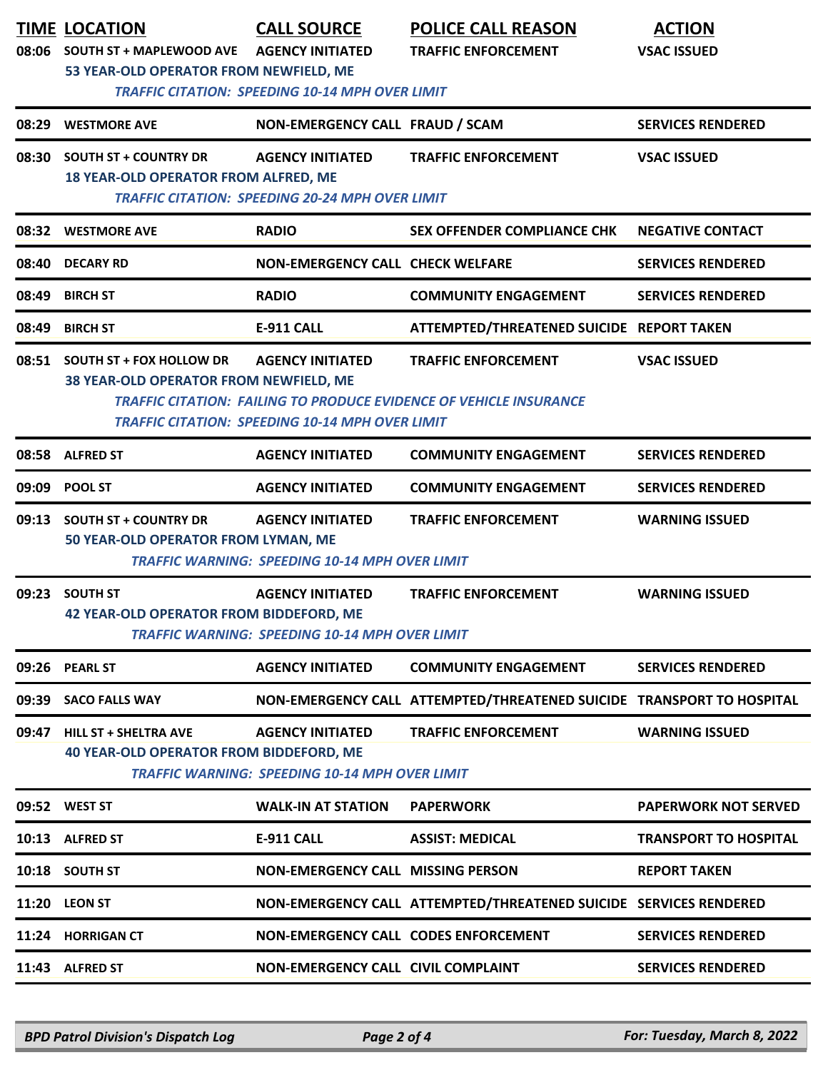| 08:06 | <b>SOUTH ST + MAPLEWOOD AVE</b><br>53 YEAR-OLD OPERATOR FROM NEWFIELD, ME      | <b>CALL SOURCE</b><br><b>AGENCY INITIATED</b><br><b>TRAFFIC CITATION: SPEEDING 10-14 MPH OVER LIMIT</b> | <b>POLICE CALL REASON</b><br><b>TRAFFIC ENFORCEMENT</b>                                                 | <b>ACTION</b><br><b>VSAC ISSUED</b> |
|-------|--------------------------------------------------------------------------------|---------------------------------------------------------------------------------------------------------|---------------------------------------------------------------------------------------------------------|-------------------------------------|
| 08:29 | <b>WESTMORE AVE</b>                                                            | NON-EMERGENCY CALL FRAUD / SCAM                                                                         |                                                                                                         | <b>SERVICES RENDERED</b>            |
| 08:30 | <b>SOUTH ST + COUNTRY DR</b><br>18 YEAR-OLD OPERATOR FROM ALFRED, ME           | <b>AGENCY INITIATED</b><br><b>TRAFFIC CITATION: SPEEDING 20-24 MPH OVER LIMIT</b>                       | <b>TRAFFIC ENFORCEMENT</b>                                                                              | <b>VSAC ISSUED</b>                  |
|       | 08:32 WESTMORE AVE                                                             | <b>RADIO</b>                                                                                            | SEX OFFENDER COMPLIANCE CHK                                                                             | <b>NEGATIVE CONTACT</b>             |
| 08:40 | <b>DECARY RD</b>                                                               | <b>NON-EMERGENCY CALL CHECK WELFARE</b>                                                                 |                                                                                                         | <b>SERVICES RENDERED</b>            |
| 08:49 | <b>BIRCH ST</b>                                                                | <b>RADIO</b>                                                                                            | <b>COMMUNITY ENGAGEMENT</b>                                                                             | <b>SERVICES RENDERED</b>            |
| 08:49 | <b>BIRCH ST</b>                                                                | E-911 CALL                                                                                              | ATTEMPTED/THREATENED SUICIDE REPORT TAKEN                                                               |                                     |
|       | 08:51 SOUTH ST + FOX HOLLOW DR<br>38 YEAR-OLD OPERATOR FROM NEWFIELD, ME       | <b>AGENCY INITIATED</b><br><b>TRAFFIC CITATION: SPEEDING 10-14 MPH OVER LIMIT</b>                       | <b>TRAFFIC ENFORCEMENT</b><br><b>TRAFFIC CITATION: FAILING TO PRODUCE EVIDENCE OF VEHICLE INSURANCE</b> | <b>VSAC ISSUED</b>                  |
|       | 08:58 ALFRED ST                                                                | <b>AGENCY INITIATED</b>                                                                                 | <b>COMMUNITY ENGAGEMENT</b>                                                                             | <b>SERVICES RENDERED</b>            |
|       | 09:09 POOL ST                                                                  | <b>AGENCY INITIATED</b>                                                                                 | <b>COMMUNITY ENGAGEMENT</b>                                                                             | <b>SERVICES RENDERED</b>            |
| 09:13 | <b>SOUTH ST + COUNTRY DR</b><br>50 YEAR-OLD OPERATOR FROM LYMAN, ME            | <b>AGENCY INITIATED</b><br><b>TRAFFIC WARNING: SPEEDING 10-14 MPH OVER LIMIT</b>                        | <b>TRAFFIC ENFORCEMENT</b>                                                                              | <b>WARNING ISSUED</b>               |
| 09:23 | <b>SOUTH ST</b><br>42 YEAR-OLD OPERATOR FROM BIDDEFORD, ME                     | <b>AGENCY INITIATED</b><br><b>TRAFFIC WARNING: SPEEDING 10-14 MPH OVER LIMIT</b>                        | <b>TRAFFIC ENFORCEMENT</b>                                                                              | <b>WARNING ISSUED</b>               |
| 09:26 | <b>PEARL ST</b>                                                                | <b>AGENCY INITIATED</b>                                                                                 | <b>COMMUNITY ENGAGEMENT</b>                                                                             | <b>SERVICES RENDERED</b>            |
| 09:39 | <b>SACO FALLS WAY</b>                                                          |                                                                                                         | NON-EMERGENCY CALL ATTEMPTED/THREATENED SUICIDE TRANSPORT TO HOSPITAL                                   |                                     |
| 09:47 | <b>HILL ST + SHELTRA AVE</b><br><b>40 YEAR-OLD OPERATOR FROM BIDDEFORD, ME</b> | <b>AGENCY INITIATED</b><br><b>TRAFFIC WARNING: SPEEDING 10-14 MPH OVER LIMIT</b>                        | <b>TRAFFIC ENFORCEMENT</b>                                                                              | <b>WARNING ISSUED</b>               |
|       | 09:52 WEST ST                                                                  | <b>WALK-IN AT STATION</b>                                                                               | <b>PAPERWORK</b>                                                                                        | <b>PAPERWORK NOT SERVED</b>         |
|       | 10:13 ALFRED ST                                                                | E-911 CALL                                                                                              | <b>ASSIST: MEDICAL</b>                                                                                  | <b>TRANSPORT TO HOSPITAL</b>        |
|       | 10:18 SOUTH ST                                                                 | <b>NON-EMERGENCY CALL MISSING PERSON</b>                                                                |                                                                                                         | <b>REPORT TAKEN</b>                 |
|       | 11:20 LEON ST                                                                  |                                                                                                         | NON-EMERGENCY CALL ATTEMPTED/THREATENED SUICIDE SERVICES RENDERED                                       |                                     |
|       | 11:24 HORRIGAN CT                                                              | NON-EMERGENCY CALL CODES ENFORCEMENT                                                                    |                                                                                                         | <b>SERVICES RENDERED</b>            |
|       | 11:43 ALFRED ST                                                                | NON-EMERGENCY CALL CIVIL COMPLAINT                                                                      |                                                                                                         | <b>SERVICES RENDERED</b>            |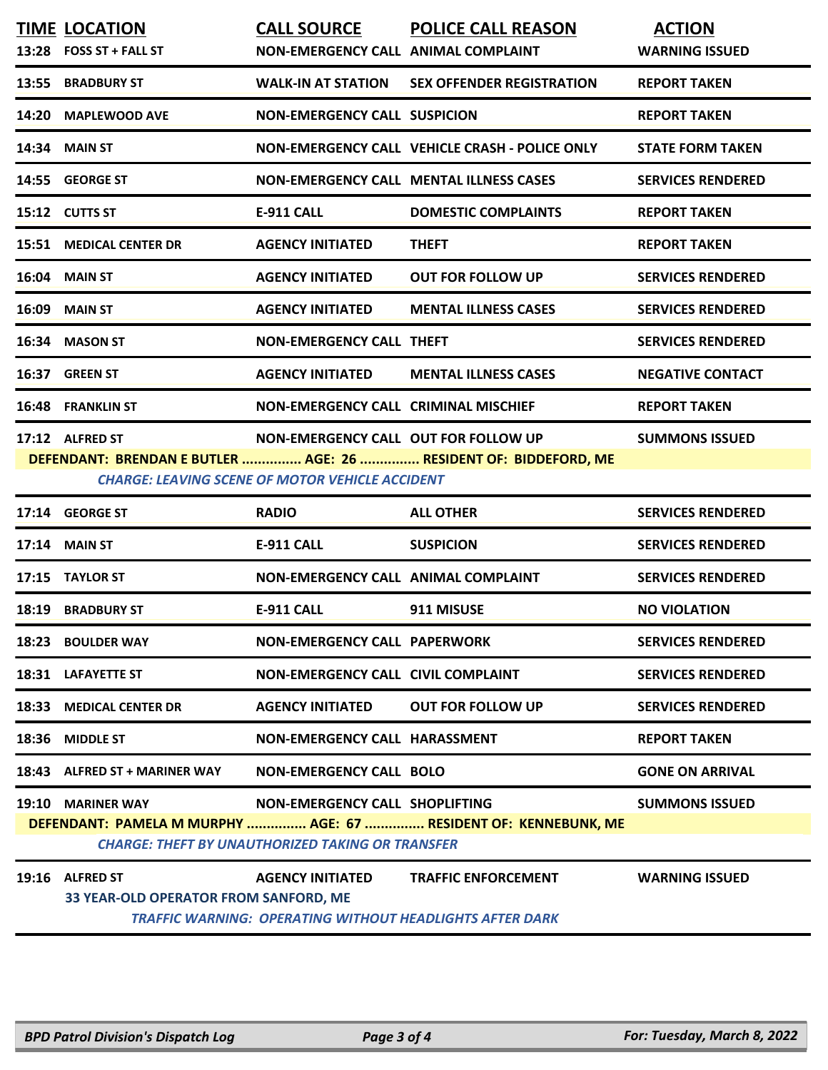|       | <b>TIME LOCATION</b><br>13:28 FOSS ST + FALL ST                 | <b>CALL SOURCE</b><br>NON-EMERGENCY CALL ANIMAL COMPLAINT                                 | <b>POLICE CALL REASON</b>                                                                     | <b>ACTION</b><br><b>WARNING ISSUED</b> |
|-------|-----------------------------------------------------------------|-------------------------------------------------------------------------------------------|-----------------------------------------------------------------------------------------------|----------------------------------------|
| 13:55 | <b>BRADBURY ST</b>                                              | WALK-IN AT STATION                                                                        | <b>SEX OFFENDER REGISTRATION</b>                                                              | <b>REPORT TAKEN</b>                    |
| 14:20 | <b>MAPLEWOOD AVE</b>                                            | <b>NON-EMERGENCY CALL SUSPICION</b>                                                       |                                                                                               | <b>REPORT TAKEN</b>                    |
| 14:34 | <b>MAIN ST</b>                                                  |                                                                                           | NON-EMERGENCY CALL VEHICLE CRASH - POLICE ONLY                                                | <b>STATE FORM TAKEN</b>                |
|       | 14:55 GEORGE ST                                                 |                                                                                           | <b>NON-EMERGENCY CALL MENTAL ILLNESS CASES</b>                                                | <b>SERVICES RENDERED</b>               |
|       | 15:12 CUTTS ST                                                  | <b>E-911 CALL</b>                                                                         | <b>DOMESTIC COMPLAINTS</b>                                                                    | <b>REPORT TAKEN</b>                    |
| 15:51 | <b>MEDICAL CENTER DR</b>                                        | <b>AGENCY INITIATED</b>                                                                   | <b>THEFT</b>                                                                                  | <b>REPORT TAKEN</b>                    |
| 16:04 | <b>MAIN ST</b>                                                  | <b>AGENCY INITIATED</b>                                                                   | <b>OUT FOR FOLLOW UP</b>                                                                      | <b>SERVICES RENDERED</b>               |
| 16:09 | <b>MAIN ST</b>                                                  | <b>AGENCY INITIATED</b>                                                                   | <b>MENTAL ILLNESS CASES</b>                                                                   | <b>SERVICES RENDERED</b>               |
| 16:34 | <b>MASON ST</b>                                                 | <b>NON-EMERGENCY CALL THEFT</b>                                                           |                                                                                               | <b>SERVICES RENDERED</b>               |
| 16:37 | <b>GREEN ST</b>                                                 | <b>AGENCY INITIATED</b>                                                                   | <b>MENTAL ILLNESS CASES</b>                                                                   | <b>NEGATIVE CONTACT</b>                |
| 16:48 | <b>FRANKLIN ST</b>                                              | <b>NON-EMERGENCY CALL CRIMINAL MISCHIEF</b>                                               |                                                                                               | <b>REPORT TAKEN</b>                    |
|       | 17:12 ALFRED ST                                                 | NON-EMERGENCY CALL OUT FOR FOLLOW UP                                                      | DEFENDANT: BRENDAN E BUTLER  AGE: 26  RESIDENT OF: BIDDEFORD, ME                              | <b>SUMMONS ISSUED</b>                  |
|       |                                                                 | <b>CHARGE: LEAVING SCENE OF MOTOR VEHICLE ACCIDENT</b>                                    |                                                                                               |                                        |
|       | 17:14 GEORGE ST                                                 | <b>RADIO</b>                                                                              | <b>ALL OTHER</b>                                                                              | <b>SERVICES RENDERED</b>               |
| 17:14 | <b>MAIN ST</b>                                                  | <b>E-911 CALL</b>                                                                         | <b>SUSPICION</b>                                                                              | <b>SERVICES RENDERED</b>               |
| 17:15 | <b>TAYLOR ST</b>                                                | NON-EMERGENCY CALL ANIMAL COMPLAINT                                                       |                                                                                               | <b>SERVICES RENDERED</b>               |
| 18:19 | <b>BRADBURY ST</b>                                              | <b>E-911 CALL</b>                                                                         | 911 MISUSE                                                                                    | <b>NO VIOLATION</b>                    |
|       | 18:23 BOULDER WAY                                               | <b>NON-EMERGENCY CALL PAPERWORK</b>                                                       |                                                                                               | <b>SERVICES RENDERED</b>               |
|       | 18:31 LAFAYETTE ST                                              | NON-EMERGENCY CALL CIVIL COMPLAINT                                                        |                                                                                               | <b>SERVICES RENDERED</b>               |
| 18:33 | <b>MEDICAL CENTER DR</b>                                        | <b>AGENCY INITIATED</b>                                                                   | <b>OUT FOR FOLLOW UP</b>                                                                      | <b>SERVICES RENDERED</b>               |
| 18:36 | <b>MIDDLE ST</b>                                                | NON-EMERGENCY CALL HARASSMENT                                                             |                                                                                               | <b>REPORT TAKEN</b>                    |
|       | 18:43 ALFRED ST + MARINER WAY                                   | <b>NON-EMERGENCY CALL BOLO</b>                                                            |                                                                                               | <b>GONE ON ARRIVAL</b>                 |
|       | 19:10 MARINER WAY                                               | NON-EMERGENCY CALL SHOPLIFTING<br><b>CHARGE: THEFT BY UNAUTHORIZED TAKING OR TRANSFER</b> | DEFENDANT: PAMELA M MURPHY  AGE: 67  RESIDENT OF: KENNEBUNK, ME                               | <b>SUMMONS ISSUED</b>                  |
|       | 19:16 ALFRED ST<br><b>33 YEAR-OLD OPERATOR FROM SANFORD, ME</b> | <b>AGENCY INITIATED</b>                                                                   | <b>TRAFFIC ENFORCEMENT</b><br><b>TRAFFIC WARNING: OPERATING WITHOUT HEADLIGHTS AFTER DARK</b> | <b>WARNING ISSUED</b>                  |